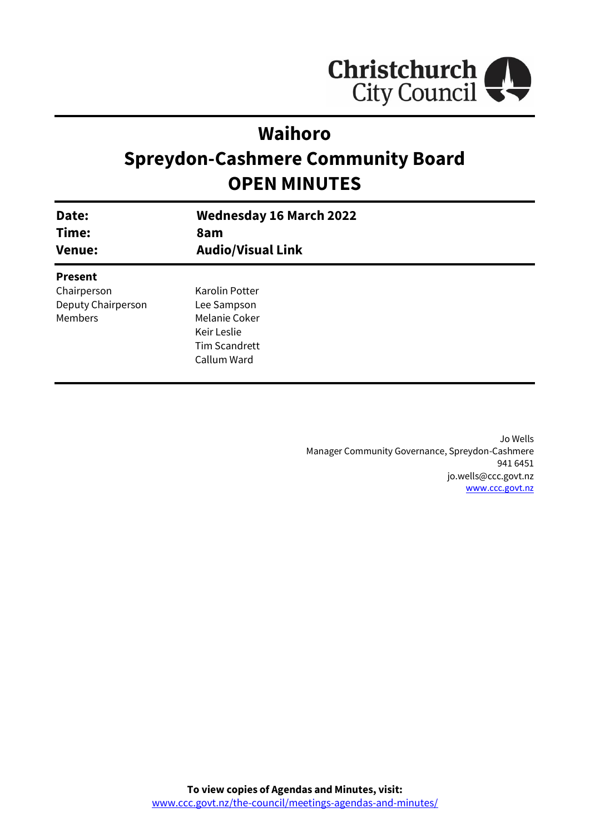

# **Waihoro**

# **Spreydon-Cashmere Community Board OPEN MINUTES**

| Date:<br>Time:     | <b>Wednesday 16 March 2022</b><br>8am |
|--------------------|---------------------------------------|
| <b>Venue:</b>      | <b>Audio/Visual Link</b>              |
| <b>Present</b>     |                                       |
| Chairperson        | Karolin Potter                        |
| Deputy Chairperson | Lee Sampson                           |
| Members            | Melanie Coker                         |
|                    | Keir Leslie                           |
|                    | <b>Tim Scandrett</b>                  |
|                    | Callum Ward                           |
|                    |                                       |

Jo Wells Manager Community Governance, Spreydon-Cashmere 941 6451 jo.wells@ccc.govt.nz [www.ccc.govt.nz](http://www.ccc.govt.nz/)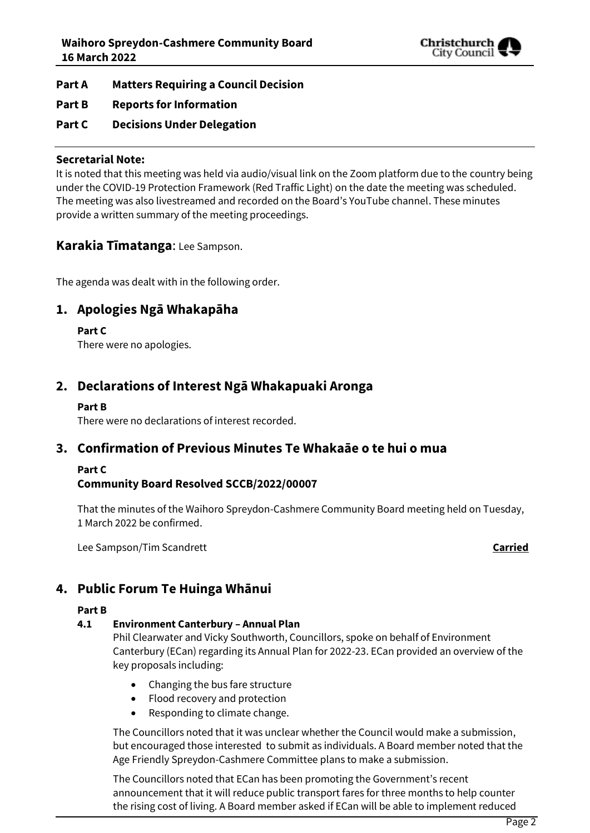

- **Part A Matters Requiring a Council Decision**
- **Part B Reports for Information**
- **Part C Decisions Under Delegation**

#### **Secretarial Note:**

It is noted that this meeting was held via audio/visual link on the Zoom platform due to the country being under the COVID-19 Protection Framework (Red Traffic Light) on the date the meeting was scheduled. The meeting was also livestreamed and recorded on the Board's YouTube channel. These minutes provide a written summary of the meeting proceedings.

### **Karakia Tīmatanga**: Lee Sampson.

The agenda was dealt with in the following order.

# **1. Apologies Ngā Whakapāha**

**Part C**  There were no apologies.

# **2. Declarations of Interest Ngā Whakapuaki Aronga**

#### **Part B**

There were no declarations of interest recorded.

## **3. Confirmation of Previous Minutes Te Whakaāe o te hui o mua**

### **Part C**

### **Community Board Resolved SCCB/2022/00007**

That the minutes of the Waihoro Spreydon-Cashmere Community Board meeting held on Tuesday, 1 March 2022 be confirmed.

Lee Sampson/Tim Scandrett **Carried**

# **4. Public Forum Te Huinga Whānui**

#### **Part B**

#### **4.1 Environment Canterbury – Annual Plan**

Phil Clearwater and Vicky Southworth, Councillors, spoke on behalf of Environment Canterbury (ECan) regarding its Annual Plan for 2022-23. ECan provided an overview of the key proposals including:

- Changing the bus fare structure
- Flood recovery and protection
- Responding to climate change.

The Councillors noted that it was unclear whether the Council would make a submission, but encouraged those interested to submit as individuals. A Board member noted that the Age Friendly Spreydon-Cashmere Committee plans to make a submission.

The Councillors noted that ECan has been promoting the Government's recent announcement that it will reduce public transport fares for three months to help counter the rising cost of living. A Board member asked if ECan will be able to implement reduced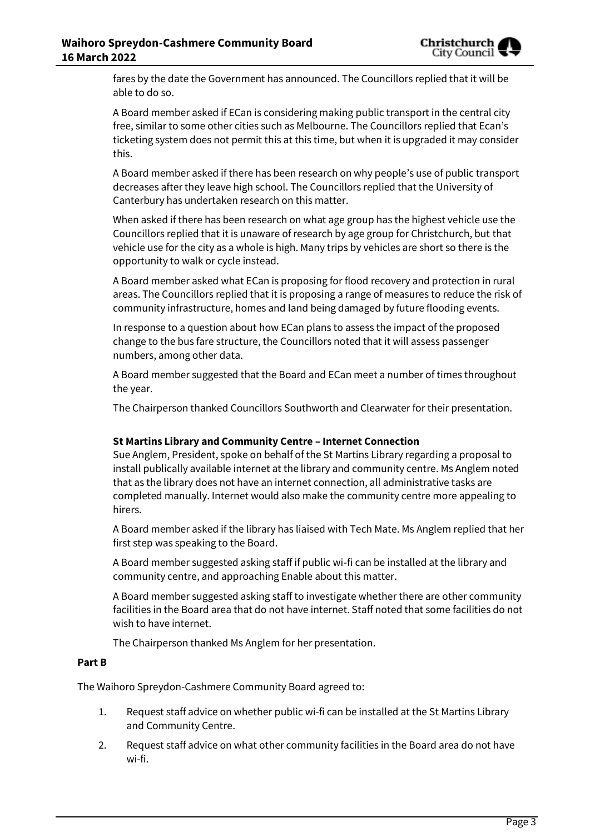fares by the date the Government has announced. The Councillors replied that it will be able to do so.

A Board member asked if ECan is considering making public transport in the central city free, similar to some other cities such as Melbourne. The Councillors replied that Ecan's ticketing system does not permit this at this time, but when it is upgraded it may consider this.

A Board member asked if there has been research on why people's use of public transport decreases after they leave high school. The Councillors replied that the University of Canterbury has undertaken research on this matter.

When asked if there has been research on what age group has the highest vehicle use the Councillors replied that it is unaware of research by age group for Christchurch, but that vehicle use for the city as a whole is high. Many trips by vehicles are short so there is the opportunity to walk or cycle instead.

A Board member asked what ECan is proposing for flood recovery and protection in rural areas. The Councillors replied that it is proposing a range of measures to reduce the risk of community infrastructure, homes and land being damaged by future flooding events.

In response to a question about how ECan plans to assess the impact of the proposed change to the bus fare structure, the Councillors noted that it will assess passenger numbers, among other data.

A Board member suggested that the Board and ECan meet a number of times throughout the year.

The Chairperson thanked Councillors Southworth and Clearwater for their presentation.

#### **St Martins Library and Community Centre – Internet Connection**

Sue Anglem, President, spoke on behalf of the St Martins Library regarding a proposal to install publically available internet at the library and community centre. Ms Anglem noted that as the library does not have an internet connection, all administrative tasks are completed manually. Internet would also make the community centre more appealing to hirers.

A Board member asked if the library has liaised with Tech Mate. Ms Anglem replied that her first step was speaking to the Board.

A Board member suggested asking staff if public wi-fi can be installed at the library and community centre, and approaching Enable about this matter.

A Board member suggested asking staff to investigate whether there are other community facilities in the Board area that do not have internet. Staff noted that some facilities do not wish to have internet.

The Chairperson thanked Ms Anglem for her presentation.

#### **Part B**

The Waihoro Spreydon-Cashmere Community Board agreed to:

- 1. Request staff advice on whether public wi-fi can be installed at the St Martins Library and Community Centre.
- 2. Request staff advice on what other community facilities in the Board area do not have wi-fi.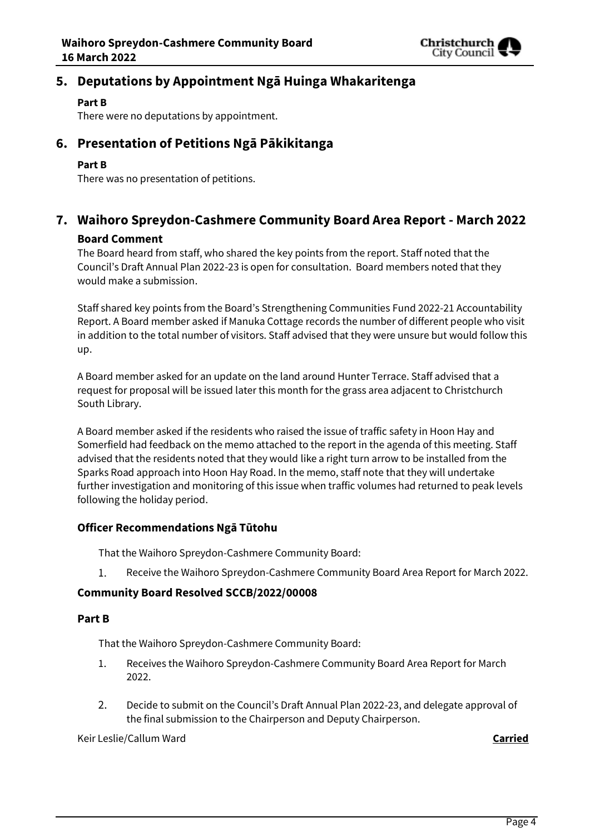

## **5. Deputations by Appointment Ngā Huinga Whakaritenga**

#### **Part B**

There were no deputations by appointment.

# **6. Presentation of Petitions Ngā Pākikitanga**

#### **Part B**

There was no presentation of petitions.

# **7. Waihoro Spreydon-Cashmere Community Board Area Report - March 2022**

#### **Board Comment**

The Board heard from staff, who shared the key points from the report. Staff noted that the Council's Draft Annual Plan 2022-23 is open for consultation. Board members noted that they would make a submission.

Staff shared key points from the Board's Strengthening Communities Fund 2022-21 Accountability Report. A Board member asked if Manuka Cottage records the number of different people who visit in addition to the total number of visitors. Staff advised that they were unsure but would follow this up.

A Board member asked for an update on the land around Hunter Terrace. Staff advised that a request for proposal will be issued later this month for the grass area adjacent to Christchurch South Library.

A Board member asked if the residents who raised the issue of traffic safety in Hoon Hay and Somerfield had feedback on the memo attached to the report in the agenda of this meeting. Staff advised that the residents noted that they would like a right turn arrow to be installed from the Sparks Road approach into Hoon Hay Road. In the memo, staff note that they will undertake further investigation and monitoring of this issue when traffic volumes had returned to peak levels following the holiday period.

#### **Officer Recommendations Ngā Tūtohu**

That the Waihoro Spreydon-Cashmere Community Board:

Receive the Waihoro Spreydon-Cashmere Community Board Area Report for March 2022.  $1.$ 

#### **Community Board Resolved SCCB/2022/00008**

#### **Part B**

That the Waihoro Spreydon-Cashmere Community Board:

- 1. Receives the Waihoro Spreydon-Cashmere Community Board Area Report for March 2022.
- 2. Decide to submit on the Council's Draft Annual Plan 2022-23, and delegate approval of the final submission to the Chairperson and Deputy Chairperson.

Keir Leslie/Callum Ward **Carried**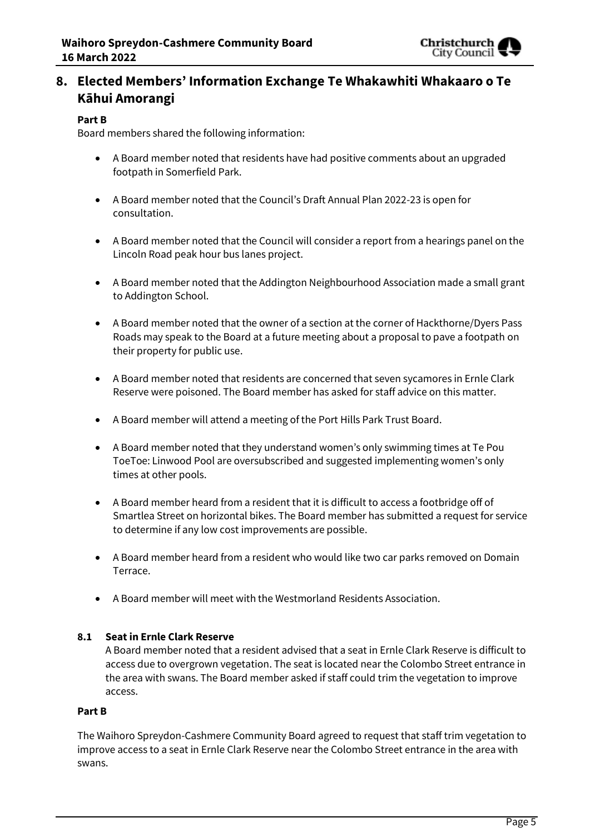

# **8. Elected Members' Information Exchange Te Whakawhiti Whakaaro o Te Kāhui Amorangi**

#### **Part B**

Board members shared the following information:

- A Board member noted that residents have had positive comments about an upgraded footpath in Somerfield Park.
- A Board member noted that the Council's Draft Annual Plan 2022-23 is open for consultation.
- A Board member noted that the Council will consider a report from a hearings panel on the Lincoln Road peak hour bus lanes project.
- A Board member noted that the Addington Neighbourhood Association made a small grant to Addington School.
- A Board member noted that the owner of a section at the corner of Hackthorne/Dyers Pass Roads may speak to the Board at a future meeting about a proposal to pave a footpath on their property for public use.
- A Board member noted that residents are concerned that seven sycamores in Ernle Clark Reserve were poisoned. The Board member has asked for staff advice on this matter.
- A Board member will attend a meeting of the Port Hills Park Trust Board.
- A Board member noted that they understand women's only swimming times at Te Pou ToeToe: Linwood Pool are oversubscribed and suggested implementing women's only times at other pools.
- A Board member heard from a resident that it is difficult to access a footbridge off of Smartlea Street on horizontal bikes. The Board member has submitted a request for service to determine if any low cost improvements are possible.
- A Board member heard from a resident who would like two car parks removed on Domain Terrace.
- A Board member will meet with the Westmorland Residents Association.

#### **8.1 Seat in Ernle Clark Reserve**

A Board member noted that a resident advised that a seat in Ernle Clark Reserve is difficult to access due to overgrown vegetation. The seat is located near the Colombo Street entrance in the area with swans. The Board member asked if staff could trim the vegetation to improve access.

#### **Part B**

The Waihoro Spreydon-Cashmere Community Board agreed to request that staff trim vegetation to improve access to a seat in Ernle Clark Reserve near the Colombo Street entrance in the area with swans.